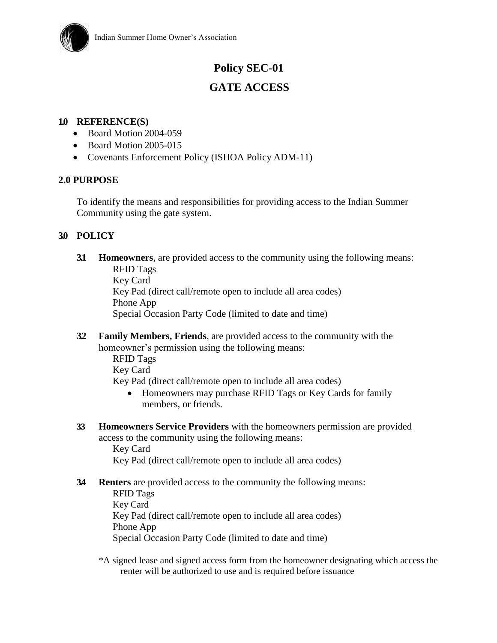

# **Policy SEC-01**

# **GATE ACCESS**

#### **1.0 REFERENCE(S)**

- Board Motion 2004-059
- Board Motion 2005-015
- Covenants Enforcement Policy (ISHOA Policy ADM-11)

### **2.0 PURPOSE**

To identify the means and responsibilities for providing access to the Indian Summer Community using the gate system.

### **3.0 POLICY**

**3.1 Homeowners**, are provided access to the community using the following means: RFID Tags

Key Card

Key Pad (direct call/remote open to include all area codes) Phone App

Special Occasion Party Code (limited to date and time)

**3.2 Family Members, Friends**, are provided access to the community with the homeowner's permission using the following means:

> RFID Tags Key Card Key Pad (direct call/remote open to include all area codes)

- Homeowners may purchase RFID Tags or Key Cards for family members, or friends.
- **3.3 Homeowners Service Providers** with the homeowners permission are provided access to the community using the following means:

Key Card Key Pad (direct call/remote open to include all area codes)

**3.4 Renters** are provided access to the community the following means:

RFID Tags Key Card Key Pad (direct call/remote open to include all area codes) Phone App Special Occasion Party Code (limited to date and time)

\*A signed lease and signed access form from the homeowner designating which access the renter will be authorized to use and is required before issuance